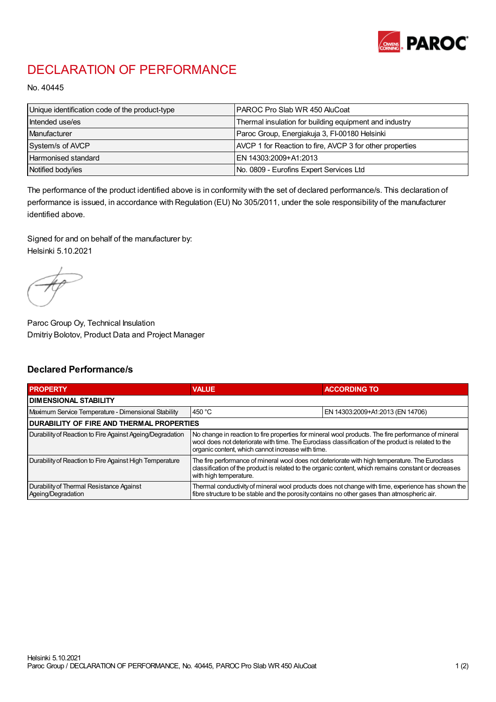

## DECLARATION OF PERFORMANCE

No. 40445

| Unique identification code of the product-type | I PAROC Pro Slab WR 450 AluCoat                          |
|------------------------------------------------|----------------------------------------------------------|
| Intended use/es                                | Thermal insulation for building equipment and industry   |
| Manufacturer                                   | Paroc Group, Energiakuja 3, FI-00180 Helsinki            |
| System/s of AVCP                               | AVCP 1 for Reaction to fire, AVCP 3 for other properties |
| Harmonised standard                            | IEN 14303:2009+A1:2013                                   |
| Notified body/ies                              | No. 0809 - Eurofins Expert Services Ltd                  |

The performance of the product identified above is in conformity with the set of declared performance/s. This declaration of performance is issued, in accordance with Regulation (EU) No 305/2011, under the sole responsibility of the manufacturer identified above.

Signed for and on behalf of the manufacturer by: Helsinki 5.10.2021

Paroc Group Oy, Technical Insulation Dmitriy Bolotov, Product Data and Project Manager

## Declared Performance/s

| <b>PROPERTY</b>                                                | <b>VALUE</b>                                                                                                                                                                                                                                                   | <b>ACCORDING TO.</b>             |  |
|----------------------------------------------------------------|----------------------------------------------------------------------------------------------------------------------------------------------------------------------------------------------------------------------------------------------------------------|----------------------------------|--|
| <b>DIMENSIONAL STABILITY</b>                                   |                                                                                                                                                                                                                                                                |                                  |  |
| Maximum Service Temperature - Dimensional Stability            | 450 $^{\circ}$ C                                                                                                                                                                                                                                               | EN 14303:2009+A1:2013 (EN 14706) |  |
| <b>DURABILITY OF FIRE AND THERMAL PROPERTIES</b>               |                                                                                                                                                                                                                                                                |                                  |  |
| Durability of Reaction to Fire Against Ageing/Degradation      | No change in reaction to fire properties for mineral wool products. The fire performance of mineral<br>wool does not deteriorate with time. The Euroclass classification of the product is related to the<br>organic content, which cannot increase with time. |                                  |  |
| Durability of Reaction to Fire Against High Temperature        | The fire performance of mineral wool does not deteriorate with high temperature. The Euroclass<br>classification of the product is related to the organic content, which remains constant or decreases<br>with high temperature.                               |                                  |  |
| Durability of Thermal Resistance Against<br>Ageing/Degradation | Thermal conductivity of mineral wool products does not change with time, experience has shown the<br>fibre structure to be stable and the porosity contains no other gases than atmospheric air.                                                               |                                  |  |